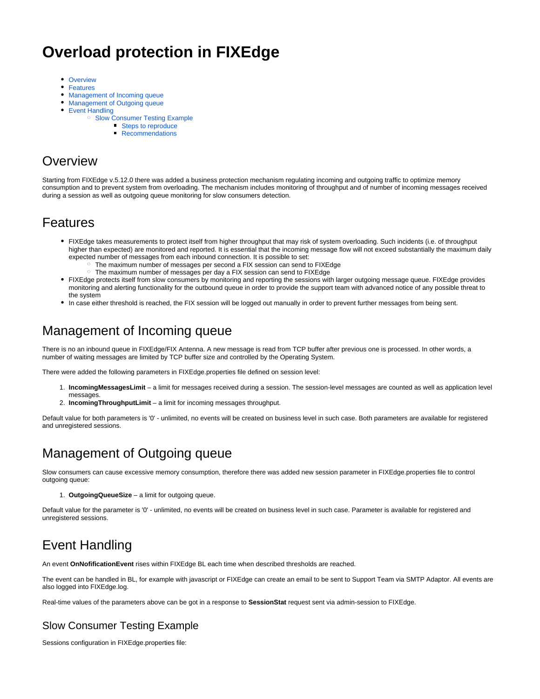# **Overload protection in FIXEdge**

- [Overview](#page-0-0)
- [Features](#page-0-1)
- [Management of Incoming queue](#page-0-2)
- [Management of Outgoing queue](#page-0-3)
- [Event Handling](#page-0-4)
	- <sup>o</sup> [Slow Consumer Testing Example](#page-0-5)
		- [Steps to reproduce](#page-2-0)
		- **[Recommendations](#page-2-1)**

## <span id="page-0-0"></span>**Overview**

Starting from FIXEdge v.5.12.0 there was added a business protection mechanism regulating incoming and outgoing traffic to optimize memory consumption and to prevent system from overloading. The mechanism includes monitoring of throughput and of number of incoming messages received during a session as well as outgoing queue monitoring for slow consumers detection.

### <span id="page-0-1"></span>Features

- FIXEdge takes measurements to protect itself from higher throughput that may risk of system overloading. Such incidents (i.e. of throughput higher than expected) are monitored and reported. It is essential that the incoming message flow will not exceed substantially the maximum daily expected number of messages from each inbound connection. It is possible to set:
	- $\circ$  The maximum number of messages per second a FIX session can send to FIXEdge
	- The maximum number of messages per day a FIX session can send to FIXEdge
- FIXEdge protects itself from slow consumers by monitoring and reporting the sessions with larger outgoing message queue. FIXEdge provides monitoring and alerting functionality for the outbound queue in order to provide the support team with advanced notice of any possible threat to the system
- In case either threshold is reached, the FIX session will be logged out manually in order to prevent further messages from being sent.

# <span id="page-0-2"></span>Management of Incoming queue

There is no an inbound queue in FIXEdge/FIX Antenna. A new message is read from TCP buffer after previous one is processed. In other words, a number of waiting messages are limited by TCP buffer size and controlled by the Operating System.

There were added the following parameters in FIXEdge.properties file defined on session level:

- 1. **IncomingMessagesLimit** a limit for messages received during a session. The session-level messages are counted as well as application level messages.
- 2. **IncomingThroughputLimit** a limit for incoming messages throughput.

Default value for both parameters is '0' - unlimited, no events will be created on business level in such case. Both parameters are available for registered and unregistered sessions.

## <span id="page-0-3"></span>Management of Outgoing queue

Slow consumers can cause excessive memory consumption, therefore there was added new session parameter in FIXEdge.properties file to control outgoing queue:

1. **OutgoingQueueSize** – a limit for outgoing queue.

Default value for the parameter is '0' - unlimited, no events will be created on business level in such case. Parameter is available for registered and unregistered sessions.

# <span id="page-0-4"></span>Event Handling

An event **OnNofificationEvent** rises within FIXEdge BL each time when described thresholds are reached.

The event can be handled in BL, for example with javascript or FIXEdge can create an email to be sent to Support Team via SMTP Adaptor. All events are also logged into FIXEdge.log.

Real-time values of the parameters above can be got in a response to **SessionStat** request sent via admin-session to FIXEdge.

### <span id="page-0-5"></span>Slow Consumer Testing Example

Sessions configuration in FIXEdge.properties file: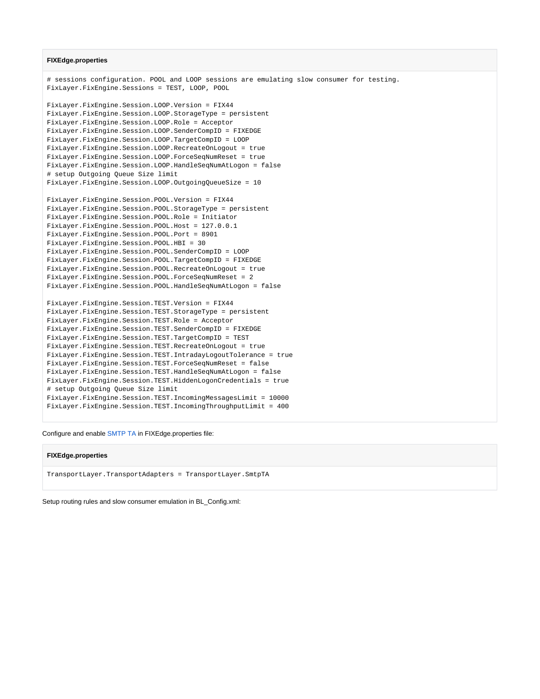#### **FIXEdge.properties**

```
# sessions configuration. POOL and LOOP sessions are emulating slow consumer for testing.
FixLayer.FixEngine.Sessions = TEST, LOOP, POOL
FixLayer.FixEngine.Session.LOOP.Version = FIX44
FixLayer.FixEngine.Session.LOOP.StorageType = persistent
FixLayer.FixEngine.Session.LOOP.Role = Acceptor
FixLayer.FixEngine.Session.LOOP.SenderCompID = FIXEDGE
FixLayer.FixEngine.Session.LOOP.TargetCompID = LOOP
FixLayer.FixEngine.Session.LOOP.RecreateOnLogout = true
FixLayer.FixEngine.Session.LOOP.ForceSeqNumReset = true
FixLayer.FixEngine.Session.LOOP.HandleSeqNumAtLogon = false
# setup Outgoing Queue Size limit 
FixLayer.FixEngine.Session.LOOP.OutgoingQueueSize = 10
FixLayer.FixEngine.Session.POOL.Version = FIX44
FixLayer.FixEngine.Session.POOL.StorageType = persistent
FixLayer.FixEngine.Session.POOL.Role = Initiator
FixLayer.FixEngine.Session.POOL.Host = 127.0.0.1
FixLayer.FixEngine.Session.POOL.Port = 8901
FixLayer.FixEngine.Session.POOL.HBI = 30
FixLayer.FixEngine.Session.POOL.SenderCompID = LOOP
FixLayer.FixEngine.Session.POOL.TargetCompID = FIXEDGE
FixLayer.FixEngine.Session.POOL.RecreateOnLogout = true
FixLayer.FixEngine.Session.POOL.ForceSeqNumReset = 2
FixLayer.FixEngine.Session.POOL.HandleSeqNumAtLogon = false
FixLayer.FixEngine.Session.TEST.Version = FIX44
FixLayer.FixEngine.Session.TEST.StorageType = persistent
FixLayer.FixEngine.Session.TEST.Role = Acceptor
FixLayer.FixEngine.Session.TEST.SenderCompID = FIXEDGE
FixLayer.FixEngine.Session.TEST.TargetCompID = TEST
FixLayer.FixEngine.Session.TEST.RecreateOnLogout = true
FixLayer.FixEngine.Session.TEST.IntradayLogoutTolerance = true
FixLayer.FixEngine.Session.TEST.ForceSeqNumReset = false
FixLayer.FixEngine.Session.TEST.HandleSeqNumAtLogon = false
FixLayer.FixEngine.Session.TEST.HiddenLogonCredentials = true
# setup Outgoing Queue Size limit 
FixLayer.FixEngine.Session.TEST.IncomingMessagesLimit = 10000
FixLayer.FixEngine.Session.TEST.IncomingThroughputLimit = 400
```
Configure and enable [SMTP TA](https://kb.b2bits.com/display/B2BITS/SMTP+Adaptor) in FIXEdge.properties file:

#### **FIXEdge.properties**

TransportLayer.TransportAdapters = TransportLayer.SmtpTA

Setup routing rules and slow consumer emulation in BL\_Config.xml: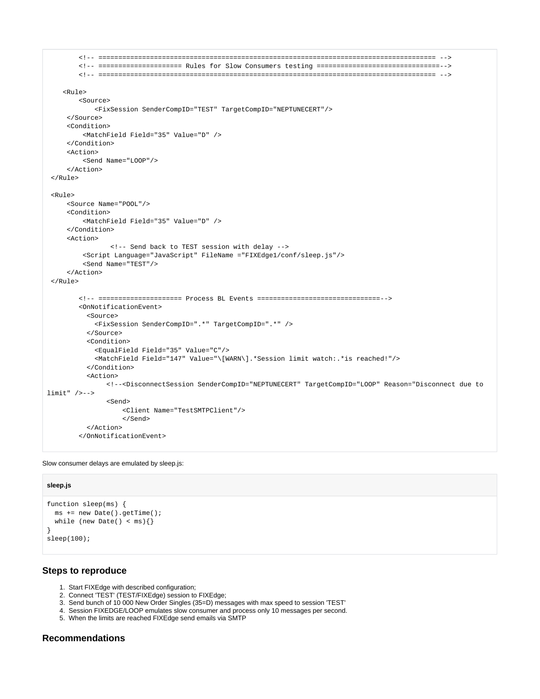```
 <!-- ===================================================================================== -->
         <!-- ===================== Rules for Slow Consumers testing ===============================-->
         <!-- ===================================================================================== -->
    R^{11}e>
         <Source>
             <FixSession SenderCompID="TEST" TargetCompID="NEPTUNECERT"/>
     </Source>
      <Condition>
          <MatchField Field="35" Value="D" />
      </Condition>
      <Action>
          <Send Name="LOOP"/>
      </Action>
\epsilon/Rules
  <Rule>
     <Source Name="POOL"/>
      <Condition>
          <MatchField Field="35" Value="D" />
      </Condition>
      <Action>
                 <!-- Send back to TEST session with delay -->
          <Script Language="JavaScript" FileName ="FIXEdge1/conf/sleep.js"/>
         <Send Name="TEST"/>
      </Action>
 </Rule>
         <!-- ===================== Process BL Events ===============================-->
         <OnNotificationEvent>
           <Source>
            <FixSession SenderCompID=".*" TargetCompID=".*" />
           </Source>
           <Condition>
             <EqualField Field="35" Value="C"/>
             <MatchField Field="147" Value="\[WARN\].*Session limit watch:.*is reached!"/>
           </Condition>
           <Action>
                <!--<DisconnectSession SenderCompID="NEPTUNECERT" TargetCompID="LOOP" Reason="Disconnect due to 
limit" />-->
                <Send>
                    <Client Name="TestSMTPClient"/>
                    </Send>
           </Action>
         </OnNotificationEvent>
```
Slow consumer delays are emulated by sleep.js:

#### **sleep.js**

```
function sleep(ms) {
  ms += new Date().getTime();
 while (new Date() < ms) { }
}
sleep(100);
```
### <span id="page-2-0"></span>**Steps to reproduce**

- 1. Start FIXEdge with described configuration;
- 2. Connect 'TEST' (TEST/FIXEdge) session to FIXEdge;
- 3. Send bunch of 10 000 New Order Singles (35=D) messages with max speed to session 'TEST'
- 4. Session FIXEDGE/LOOP emulates slow consumer and process only 10 messages per second.
- 5. When the limits are reached FIXEdge send emails via SMTP

### <span id="page-2-1"></span>**Recommendations**